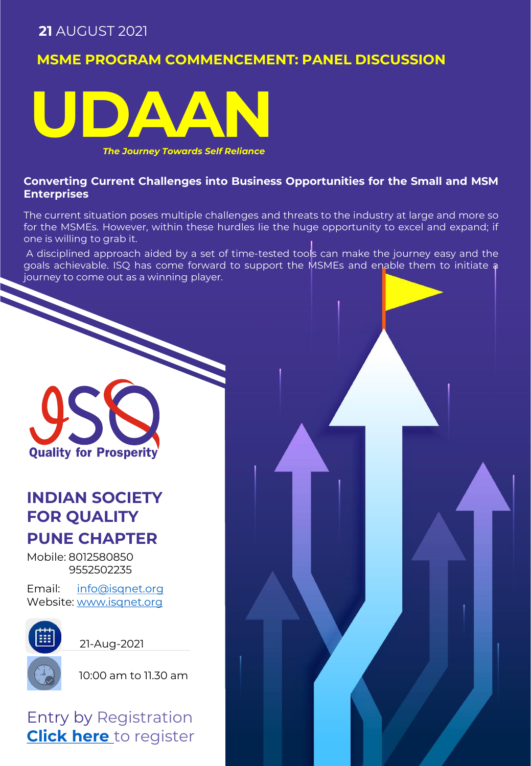## **MSME PROGRAM COMMENCEMENT: PANEL DISCUSSION**



*The Journey Towards Self Reliance*

### **Converting Current Challenges into Business Opportunities for the Small and MSM Enterprises**

The current situation poses multiple challenges and threats to the industry at large and more so for the MSMEs. However, within these hurdles lie the huge opportunity to excel and expand; if one is willing to grab it.

A disciplined approach aided by a set of time-tested tools can make the journey easy and the goals achievable. ISQ has come forward to support the MSMEs and enable them to initiate a journey to come out as a winning player.

**Quality for Prosperity** 

# **INDIAN SOCIETY FOR QUALITY PUNE CHAPTER**

Mobile: 8012580850 9552502235

Email: [info@isqnet.org](mailto:info@isqnet.org) Website: [www.isqnet.org](http://www.isqnet.org/)



21-Aug-2021



10:00 am to 11.30 am

Entry by Registration **[Click here](https://docs.google.com/forms/d/e/1FAIpQLSf-Cw3yliKizLyamjLC2mHrvxisg_ErAXmeY7LfK3aGvbZ78A/viewform?usp=sf_link)** to register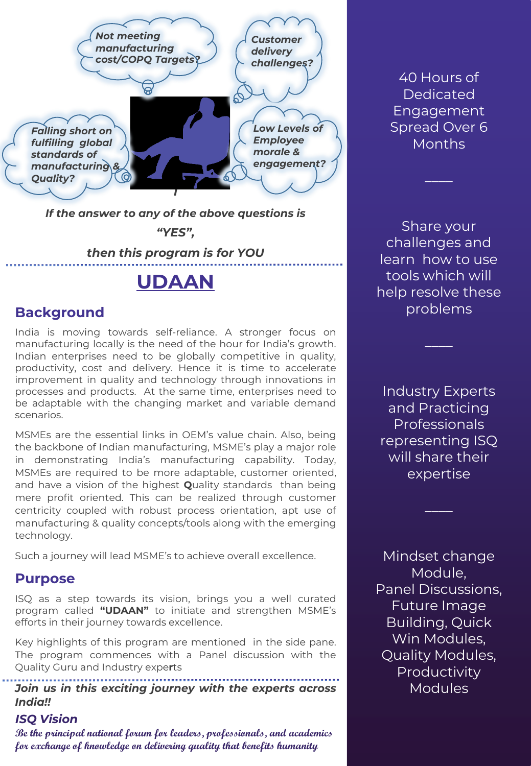

*If the answer to any of the above questions is* 

*"YES",* 

### *then this program is for YOU*

## **UDAAN**

### **Background**

India is moving towards self-reliance. A stronger focus on manufacturing locally is the need of the hour for India's growth. Indian enterprises need to be globally competitive in quality, productivity, cost and delivery. Hence it is time to accelerate improvement in quality and technology through innovations in processes and products. At the same time, enterprises need to be adaptable with the changing market and variable demand scenarios.

MSMEs are the essential links in OEM's value chain. Also, being the backbone of Indian manufacturing, MSME's play a major role in demonstrating India's manufacturing capability. Today, MSMEs are required to be more adaptable, customer oriented, and have a vision of the highest **Q**uality standards than being mere profit oriented. This can be realized through customer centricity coupled with robust process orientation, apt use of manufacturing & quality concepts/tools along with the emerging technology.

Such a journey will lead MSME's to achieve overall excellence.

### **Purpose**

ISQ as a step towards its vision, brings you a well curated program called **"UDAAN"** to initiate and strengthen MSME's efforts in their journey towards excellence.

Key highlights of this program are mentioned in the side pane. The program commences with a Panel discussion with the Quality Guru and Industry expe**r**ts

*Join us in this exciting journey with the experts across India!!*

#### *ISQ Vision*

**Be the principal national forum for leaders, professionals, and academics for exchange of knowledge on delivering quality that benefits humanity**

40 Hours of Dedicated Engagement Spread Over 6 **Months** 

Share your challenges and learn how to use tools which will help resolve these problems

Industry Experts and Practicing Professionals representing ISQ will share their expertise

Mindset change Module, Panel Discussions, Future Image Building, Quick Win Modules, Quality Modules, Productivity Modules